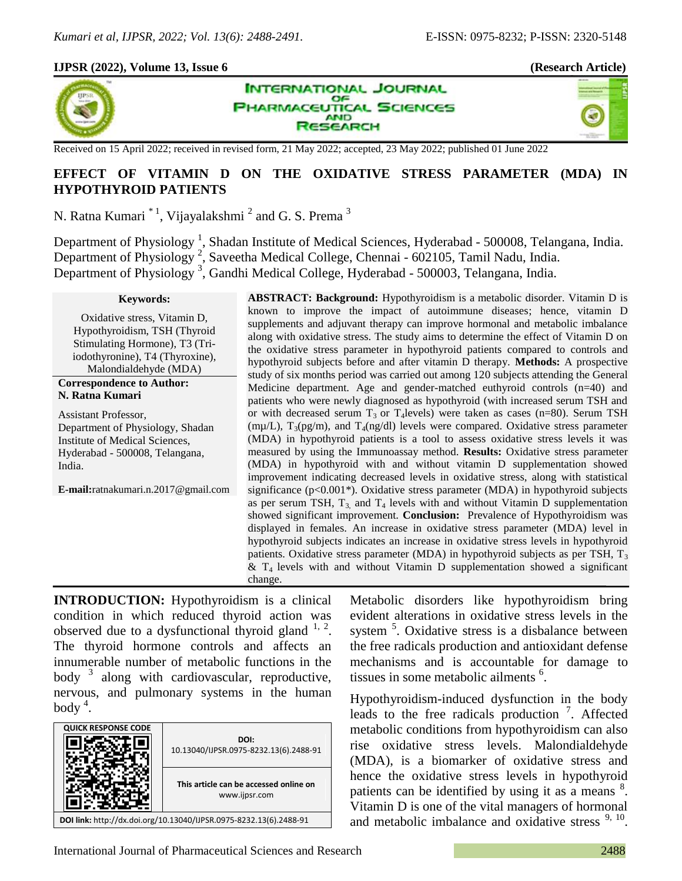# **IJPSR (2022), Volume 13, Issue 6 (Research Article)**



**INTERNATIONAL JOURNAL** OF **IARMACEUTICAL SCIENCES AND SEARCH** 



Received on 15 April 2022; received in revised form, 21 May 2022; accepted, 23 May 2022; published 01 June 2022

# **EFFECT OF VITAMIN D ON THE OXIDATIVE STRESS PARAMETER (MDA) IN HYPOTHYROID PATIENTS**

N. Ratna Kumari $\ ^{\ast\ 1}$ , Vijayalakshmi $^{\ 2}$  and G. S. Prema $^{\ 3}$ 

Department of Physiology<sup>1</sup>, Shadan Institute of Medical Sciences, Hyderabad - 500008, Telangana, India. Department of Physiology<sup>2</sup>, Saveetha Medical College, Chennai - 602105, Tamil Nadu, India. Department of Physiology<sup>3</sup>, Gandhi Medical College, Hyderabad - 500003, Telangana, India.

#### **Keywords:**

Oxidative stress, Vitamin D, Hypothyroidism, TSH (Thyroid Stimulating Hormone), T3 (Triiodothyronine), T4 (Thyroxine), Malondialdehyde (MDA)

#### **Correspondence to Author: N. Ratna Kumari**

Assistant Professor, Department of Physiology, Shadan Institute of Medical Sciences, Hyderabad - 500008, Telangana, India.

**E-mail:**ratnakumari.n.2017@gmail.com

**ABSTRACT: Background:** Hypothyroidism is a metabolic disorder. Vitamin D is known to improve the impact of autoimmune diseases; hence, vitamin D supplements and adjuvant therapy can improve hormonal and metabolic imbalance along with oxidative stress. The study aims to determine the effect of Vitamin D on the oxidative stress parameter in hypothyroid patients compared to controls and hypothyroid subjects before and after vitamin D therapy. **Methods:** A prospective study of six months period was carried out among 120 subjects attending the General Medicine department. Age and gender-matched euthyroid controls (n=40) and patients who were newly diagnosed as hypothyroid (with increased serum TSH and or with decreased serum  $T_3$  or  $T_4$  levels) were taken as cases (n=80). Serum TSH (m $\mu$ /L), T<sub>3</sub>(pg/m), and T<sub>4</sub>(ng/dl) levels were compared. Oxidative stress parameter (MDA) in hypothyroid patients is a tool to assess oxidative stress levels it was measured by using the Immunoassay method. **Results:** Oxidative stress parameter (MDA) in hypothyroid with and without vitamin D supplementation showed improvement indicating decreased levels in oxidative stress, along with statistical significance ( $p<0.001*$ ). Oxidative stress parameter (MDA) in hypothyroid subjects as per serum TSH,  $T_3$  and  $T_4$  levels with and without Vitamin D supplementation showed significant improvement. **Conclusion:** Prevalence of Hypothyroidism was displayed in females. An increase in oxidative stress parameter (MDA) level in hypothyroid subjects indicates an increase in oxidative stress levels in hypothyroid patients. Oxidative stress parameter (MDA) in hypothyroid subjects as per TSH,  $T_3$  $&$  T<sub>4</sub> levels with and without Vitamin D supplementation showed a significant change.

**INTRODUCTION:** Hypothyroidism is a clinical condition in which reduced thyroid action was observed due to a dysfunctional thyroid gland  $1, 2$ . The thyroid hormone controls and affects an innumerable number of metabolic functions in the body  $3$  along with cardiovascular, reproductive, nervous, and pulmonary systems in the human body<sup>4</sup>.

| <b>QUICK RESPONSE CODE</b>                                         | DOI:<br>10.13040/IJPSR.0975-8232.13(6).2488-91          |  |  |
|--------------------------------------------------------------------|---------------------------------------------------------|--|--|
|                                                                    | This article can be accessed online on<br>www.ijpsr.com |  |  |
| DOI link: http://dx.doi.org/10.13040/IJPSR.0975-8232.13(6).2488-91 |                                                         |  |  |

Metabolic disorders like hypothyroidism bring evident alterations in oxidative stress levels in the system <sup>5</sup>. Oxidative stress is a disbalance between the free radicals production and antioxidant defense mechanisms and is accountable for damage to tissues in some metabolic ailments <sup>6</sup>.

Hypothyroidism-induced dysfunction in the body leads to the free radicals production<sup>7</sup>. Affected metabolic conditions from hypothyroidism can also rise oxidative stress levels. Malondialdehyde (MDA), is a biomarker of oxidative stress and hence the oxidative stress levels in hypothyroid patients can be identified by using it as a means <sup>8</sup>. Vitamin D is one of the vital managers of hormonal and metabolic imbalance and oxidative stress  $9, 10$ .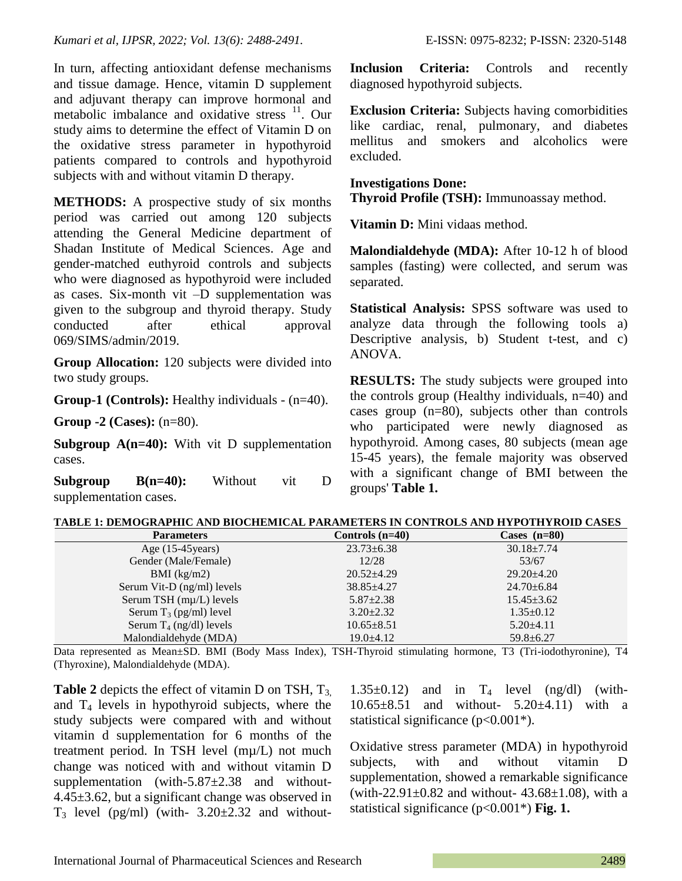In turn, affecting antioxidant defense mechanisms and tissue damage. Hence, vitamin D supplement and adjuvant therapy can improve hormonal and metabolic imbalance and oxidative stress <sup>11</sup>. Our study aims to determine the effect of Vitamin D on the oxidative stress parameter in hypothyroid patients compared to controls and hypothyroid subjects with and without vitamin D therapy.

**METHODS:** A prospective study of six months period was carried out among 120 subjects attending the General Medicine department of Shadan Institute of Medical Sciences. Age and gender-matched euthyroid controls and subjects who were diagnosed as hypothyroid were included as cases. Six-month vit –D supplementation was given to the subgroup and thyroid therapy. Study conducted after ethical approval 069/SIMS/admin/2019.

**Group Allocation:** 120 subjects were divided into two study groups.

**Group-1 (Controls):** Healthy individuals - (n=40).

**Group -2 (Cases):** (n=80).

**Subgroup A(n=40):** With vit D supplementation cases.

**Subgroup B(n=40):** Without vit D supplementation cases.

**Inclusion Criteria:** Controls and recently diagnosed hypothyroid subjects.

**Exclusion Criteria:** Subjects having comorbidities like cardiac, renal, pulmonary, and diabetes mellitus and smokers and alcoholics were excluded.

## **Investigations Done:**

**Thyroid Profile (TSH):** Immunoassay method.

**Vitamin D:** Mini vidaas method.

**Malondialdehyde (MDA):** After 10-12 h of blood samples (fasting) were collected, and serum was separated.

**Statistical Analysis:** SPSS software was used to analyze data through the following tools a) Descriptive analysis, b) Student t-test, and c) ANOVA.

**RESULTS:** The study subjects were grouped into the controls group (Healthy individuals, n=40) and cases group (n=80), subjects other than controls who participated were newly diagnosed as hypothyroid. Among cases, 80 subjects (mean age 15-45 years), the female majority was observed with a significant change of BMI between the groups' **Table 1.**

| TABLE 1: DEMOGRAPHIC AND BIOCHEMICAL PARAMETERS IN CONTROLS AND HYPOTHYROID CASES |  |  |  |
|-----------------------------------------------------------------------------------|--|--|--|
|                                                                                   |  |  |  |

| <b>Parameters</b>          | Controls $(n=40)$ | Cases $(n=80)$   |
|----------------------------|-------------------|------------------|
| Age $(15-45)$ years)       | $23.73 \pm 6.38$  | $30.18 \pm 7.74$ |
| Gender (Male/Female)       | 12/28             | 53/67            |
| $BMI$ (kg/m2)              | $20.52 \pm 4.29$  | $29.20 \pm 4.20$ |
| Serum Vit-D (ng/ml) levels | $38.85 \pm 4.27$  | $24.70 \pm 6.84$ |
| Serum TSH (mµ/L) levels    | $5.87 \pm 2.38$   | $15.45 \pm 3.62$ |
| Serum $T_3$ (pg/ml) level  | $3.20 \pm 2.32$   | $1.35 \pm 0.12$  |
| Serum $T_4$ (ng/dl) levels | $10.65 \pm 8.51$  | $5.20 \pm 4.11$  |
| Malondialdehyde (MDA)      | $19.0 \pm 4.12$   | $59.8 \pm 6.27$  |

Data represented as Mean±SD. BMI (Body Mass Index), TSH-Thyroid stimulating hormone, T3 (Tri-iodothyronine), T4 (Thyroxine), Malondialdehyde (MDA).

**Table 2** depicts the effect of vitamin D on TSH,  $T_{3}$ , and  $T_4$  levels in hypothyroid subjects, where the study subjects were compared with and without vitamin d supplementation for 6 months of the treatment period. In TSH level (mµ/L) not much change was noticed with and without vitamin D supplementation (with- $5.87\pm2.38$  and without-4.45±3.62, but a significant change was observed in  $T_3$  level (pg/ml) (with-  $3.20\pm2.32$  and without1.35 $\pm$ 0.12) and in T<sub>4</sub> level (ng/dl) (with-10.65±8.51 and without- 5.20±4.11) with a statistical significance  $(p<0.001^*)$ .

Oxidative stress parameter (MDA) in hypothyroid subjects, with and without vitamin D supplementation, showed a remarkable significance (with-22.91 $\pm$ 0.82 and without- 43.68 $\pm$ 1.08), with a statistical significance (p<0.001\*) **Fig. 1.**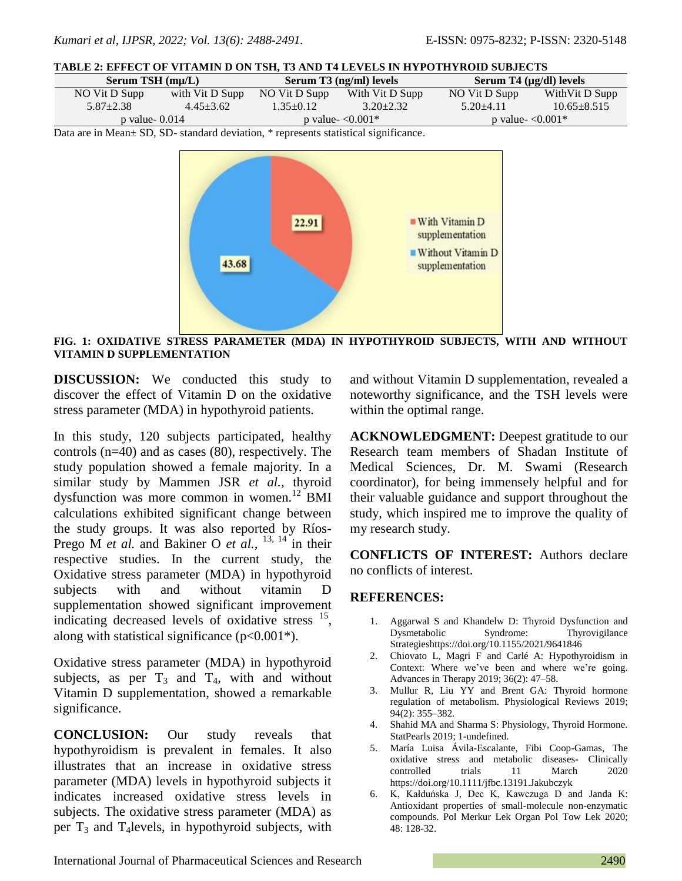| Serum TSH $(m\mu/L)$ |                 | Serum T3 (ng/ml) levels |                 | Serum T4 $(\mu$ g/dl) levels |                   |
|----------------------|-----------------|-------------------------|-----------------|------------------------------|-------------------|
| NO Vit D Supp        | with Vit D Supp | NO Vit D Supp           | With Vit D Supp | NO Vit D Supp                | With Vit D Supp   |
| $5.87 + 2.38$        | $4.45 + 3.62$   | $1.35 \pm 0.12$         | $3.20 + 2.32$   | $5.20 + 4.11$                | $10.65 \pm 8.515$ |
| p value- $0.014$     |                 | p value- $\leq 0.001*$  |                 | p value- $\leq 0.001*$       |                   |
| $\mathbf{r}$         |                 |                         |                 |                              |                   |

Data are in Mean± SD, SD- standard deviation, \* represents statistical significance.



**FIG. 1: OXIDATIVE STRESS PARAMETER (MDA) IN HYPOTHYROID SUBJECTS, WITH AND WITHOUT VITAMIN D SUPPLEMENTATION**

**DISCUSSION:** We conducted this study to discover the effect of Vitamin D on the oxidative stress parameter (MDA) in hypothyroid patients.

In this study, 120 subjects participated, healthy controls (n=40) and as cases (80), respectively. The study population showed a female majority. In a similar study by Mammen JSR *et al.,* thyroid dysfunction was more common in women.<sup>12</sup> BMI calculations exhibited significant change between the study groups. It was also reported by Ríos-Prego M *et al.* and Bakiner O *et al.*, <sup>13, 14</sup> in their respective studies. In the current study, the Oxidative stress parameter (MDA) in hypothyroid subjects with and without vitamin D supplementation showed significant improvement indicating decreased levels of oxidative stress <sup>15</sup>, along with statistical significance  $(p<0.001^*)$ .

Oxidative stress parameter (MDA) in hypothyroid subjects, as per  $T_3$  and  $T_4$ , with and without Vitamin D supplementation, showed a remarkable significance.

**CONCLUSION:** Our study reveals that hypothyroidism is prevalent in females. It also illustrates that an increase in oxidative stress parameter (MDA) levels in hypothyroid subjects it indicates increased oxidative stress levels in subjects. The oxidative stress parameter (MDA) as per  $T_3$  and T<sub>4</sub>levels, in hypothyroid subjects, with and without Vitamin D supplementation, revealed a noteworthy significance, and the TSH levels were within the optimal range.

**ACKNOWLEDGMENT:** Deepest gratitude to our Research team members of Shadan Institute of Medical Sciences, Dr. M. Swami (Research coordinator), for being immensely helpful and for their valuable guidance and support throughout the study, which inspired me to improve the quality of my research study.

**CONFLICTS OF INTEREST:** Authors declare no conflicts of interest.

### **REFERENCES:**

- 1. Aggarwal S and Khandelw D: Thyroid Dysfunction and Dysmetabolic Syndrome: Thyrovigilance Strategieshttps://doi.org/10.1155/2021/9641846
- 2. Chiovato L, Magri F and Carlé A: Hypothyroidism in Context: Where we've been and where we're going. Advances in Therapy 2019; 36(2): 47–58.
- 3. Mullur R, Liu YY and Brent GA: Thyroid hormone regulation of metabolism. Physiological Reviews 2019; 94(2): 355–382.
- 4. Shahid MA and Sharma S: Physiology, Thyroid Hormone. StatPearls 2019; 1-undefined.
- 5. María Luisa Ávila-Escalante, Fibi Coop-Gamas, The oxidative stress and metabolic diseases- Clinically controlled trials 11 March 2020 https://doi.org/10.1111/jfbc.13191.Jakubczyk
- 6. K, Kałduńska J, Dec K, Kawczuga D and Janda K: Antioxidant properties of small-molecule non-enzymatic compounds. Pol Merkur Lek Organ Pol Tow Lek 2020; 48: 128-32.